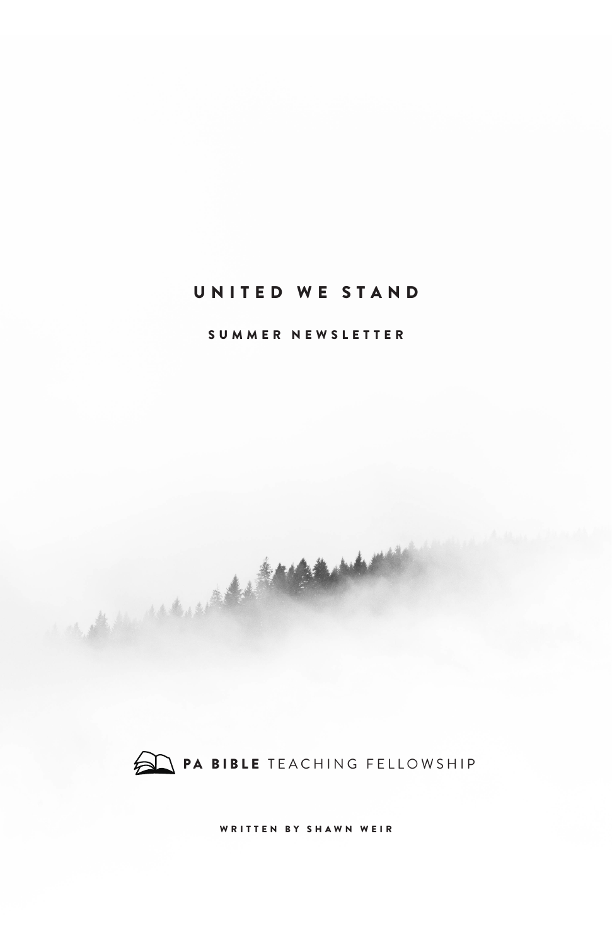### SUMMER NEWSLETTER



March 19

WRITTEN BY SHAWN WEIR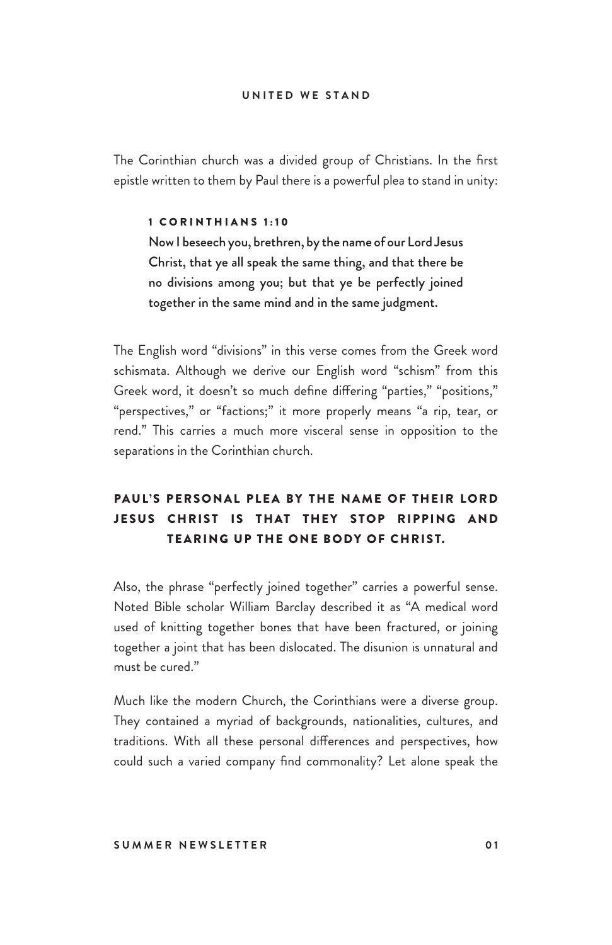The Corinthian church was a divided group of Christians. In the first epistle written to them by Paul there is a powerful plea to stand in unity:

#### 1 CORINTHIANS 1:10

Now I beseech you, brethren, by the name of our Lord Jesus Christ, that ye all speak the same thing, and that there be no divisions among you; but that ye be perfectly joined together in the same mind and in the same judgment.

The English word "divisions" in this verse comes from the Greek word schismata. Although we derive our English word "schism" from this Greek word, it doesn't so much define differing "parties," "positions," "perspectives," or "factions;" it more properly means "a rip, tear, or rend." This carries a much more visceral sense in opposition to the separations in the Corinthian church.

## PAUL'S PERSONAL PLEA BY THE NAME OF THEIR LORD JESUS CHRIST IS THAT THEY STOP RIPPING AND TEARING UP THE ONE BODY OF CHRIST.

Also, the phrase "perfectly joined together" carries a powerful sense. Noted Bible scholar William Barclay described it as "A medical word used of knitting together bones that have been fractured, or joining together a joint that has been dislocated. The disunion is unnatural and must be cured."

Much like the modern Church, the Corinthians were a diverse group. They contained a myriad of backgrounds, nationalities, cultures, and traditions. With all these personal differences and perspectives, how could such a varied company find commonality? Let alone speak the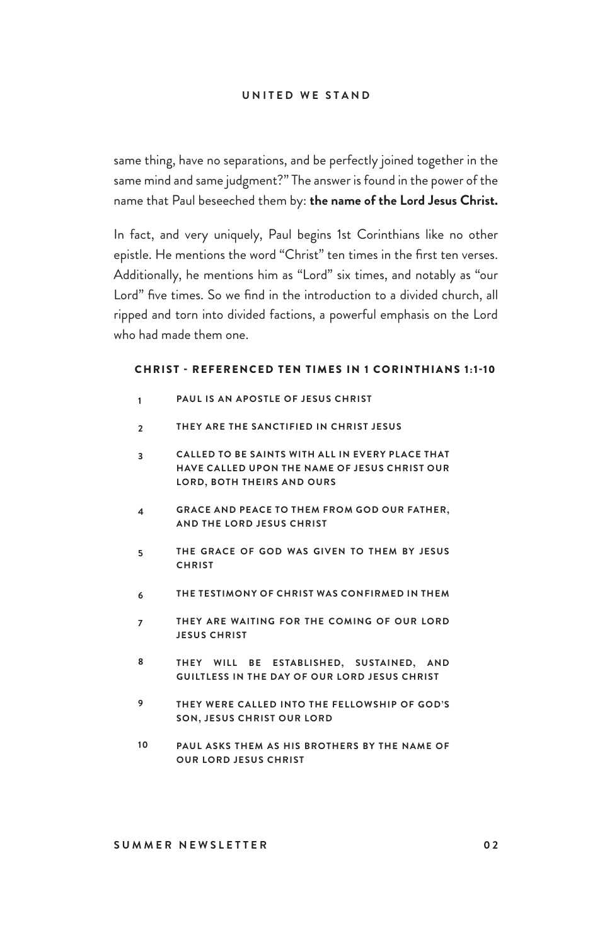same thing, have no separations, and be perfectly joined together in the same mind and same judgment?" The answer is found in the power of the name that Paul beseeched them by: **the name of the Lord Jesus Christ.**

In fact, and very uniquely, Paul begins 1st Corinthians like no other epistle. He mentions the word "Christ" ten times in the first ten verses. Additionally, he mentions him as "Lord" six times, and notably as "our Lord" five times. So we find in the introduction to a divided church, all ripped and torn into divided factions, a powerful emphasis on the Lord who had made them one.

#### CHRIST - REFERENCED TEN TIMES IN 1 CORINTHIANS 1:1-10

- **PAUL IS AN APOSTLE OF JESUS CHRIST 1**
- **THEY ARE THE SANCTIFIED IN CHRIST JESUS 2**
- **CALLED TO BE SAINTS WITH ALL IN EVERY PLACE THAT HAVE CALLED UPON THE NAME OF JESUS CHRIST OUR LORD, BOTH THEIRS AND OURS 3**
- **GRACE AND PEACE TO THEM FROM GOD OUR FATHER, AND THE LORD JESUS CHRIST 4**
- **THE GRACE OF GOD WAS GIVEN TO THEM BY JESUS CHRIST 5**
- **THE TESTIMONY OF CHRIST WAS CONFIRMED IN THEM 6**
- **THEY ARE WAITING FOR THE COMING OF OUR LORD JESUS CHRIST 7**
- **THEY WILL BE ESTABLISHED, SUSTAINED, AND GUILTLESS IN THE DAY OF OUR LORD JESUS CHRIST 8**
- **THEY WERE CALLED INTO THE FELLOWSHIP OF GOD'S SON, JESUS CHRIST OUR LORD 9**
- **PAUL ASKS THEM AS HIS BROTHERS BY THE NAME OF OUR LORD JESUS CHRIST 10**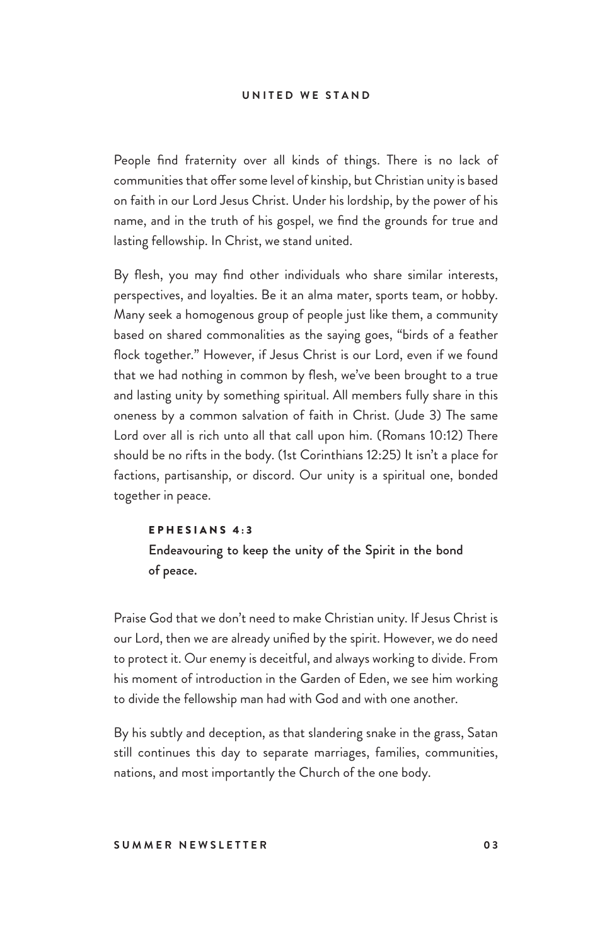People find fraternity over all kinds of things. There is no lack of communities that offer some level of kinship, but Christian unity is based on faith in our Lord Jesus Christ. Under his lordship, by the power of his name, and in the truth of his gospel, we find the grounds for true and lasting fellowship. In Christ, we stand united.

By flesh, you may find other individuals who share similar interests, perspectives, and loyalties. Be it an alma mater, sports team, or hobby. Many seek a homogenous group of people just like them, a community based on shared commonalities as the saying goes, "birds of a feather flock together." However, if Jesus Christ is our Lord, even if we found that we had nothing in common by flesh, we've been brought to a true and lasting unity by something spiritual. All members fully share in this oneness by a common salvation of faith in Christ. (Jude 3) The same Lord over all is rich unto all that call upon him. (Romans 10:12) There should be no rifts in the body. (1st Corinthians 12:25) It isn't a place for factions, partisanship, or discord. Our unity is a spiritual one, bonded together in peace.

EPHESIANS 4:3 Endeavouring to keep the unity of the Spirit in the bond of peace.

Praise God that we don't need to make Christian unity. If Jesus Christ is our Lord, then we are already unified by the spirit. However, we do need to protect it. Our enemy is deceitful, and always working to divide. From his moment of introduction in the Garden of Eden, we see him working to divide the fellowship man had with God and with one another.

By his subtly and deception, as that slandering snake in the grass, Satan still continues this day to separate marriages, families, communities, nations, and most importantly the Church of the one body.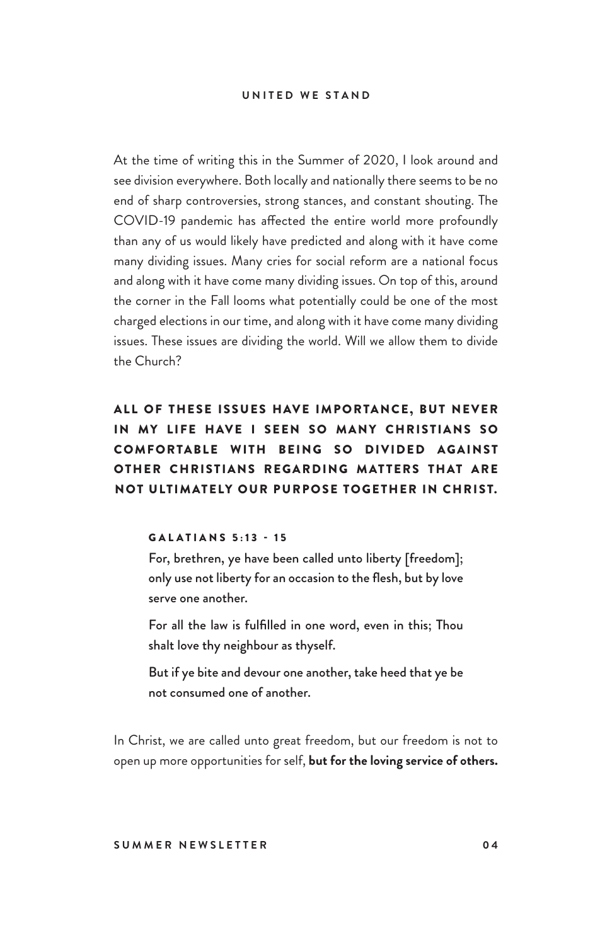At the time of writing this in the Summer of 2020, I look around and see division everywhere. Both locally and nationally there seems to be no end of sharp controversies, strong stances, and constant shouting. The COVID-19 pandemic has affected the entire world more profoundly than any of us would likely have predicted and along with it have come many dividing issues. Many cries for social reform are a national focus and along with it have come many dividing issues. On top of this, around the corner in the Fall looms what potentially could be one of the most charged elections in our time, and along with it have come many dividing issues. These issues are dividing the world. Will we allow them to divide the Church?

ALL OF THESE ISSUES HAVE IMPORTANCE, BUT NEVER IN MY LIFE HAVE I SEEN SO MANY CHRISTIANS SO COMFORTABLE WITH BEING SO DIVIDED AGAINST OTHER CHRISTIANS REGARDING MATTERS THAT ARE NOT ULTIMATELY OUR PURPOSE TOGETHER IN CHRIST.

### GALATIANS 5:13 - 15

For, brethren, ye have been called unto liberty [freedom]; only use not liberty for an occasion to the flesh, but by love serve one another.

For all the law is fulfilled in one word, even in this; Thou shalt love thy neighbour as thyself.

But if ye bite and devour one another, take heed that ye be not consumed one of another.

In Christ, we are called unto great freedom, but our freedom is not to open up more opportunities for self, **but for the loving service of others.**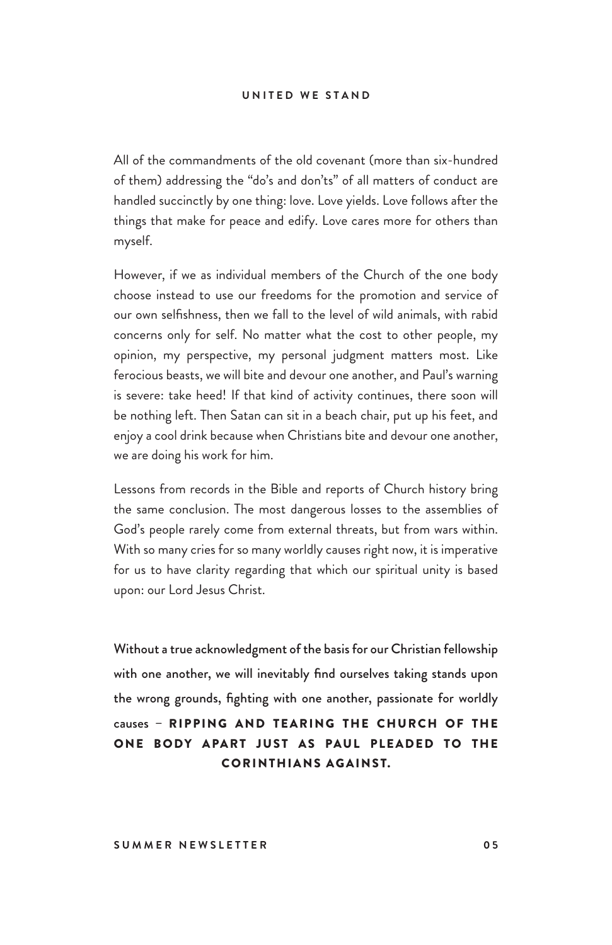All of the commandments of the old covenant (more than six-hundred of them) addressing the "do's and don'ts" of all matters of conduct are handled succinctly by one thing: love. Love yields. Love follows after the things that make for peace and edify. Love cares more for others than myself.

However, if we as individual members of the Church of the one body choose instead to use our freedoms for the promotion and service of our own selfishness, then we fall to the level of wild animals, with rabid concerns only for self. No matter what the cost to other people, my opinion, my perspective, my personal judgment matters most. Like ferocious beasts, we will bite and devour one another, and Paul's warning is severe: take heed! If that kind of activity continues, there soon will be nothing left. Then Satan can sit in a beach chair, put up his feet, and enjoy a cool drink because when Christians bite and devour one another, we are doing his work for him.

Lessons from records in the Bible and reports of Church history bring the same conclusion. The most dangerous losses to the assemblies of God's people rarely come from external threats, but from wars within. With so many cries for so many worldly causes right now, it is imperative for us to have clarity regarding that which our spiritual unity is based upon: our Lord Jesus Christ.

Without a true acknowledgment of the basis for our Christian fellowship with one another, we will inevitably find ourselves taking stands upon the wrong grounds, fighting with one another, passionate for worldly causes – RIPPING AND TEARING THE CHURCH OF THE ONE BODY APART JUST AS PAUL PLEADED TO THE CORINTHIANS AGAINST.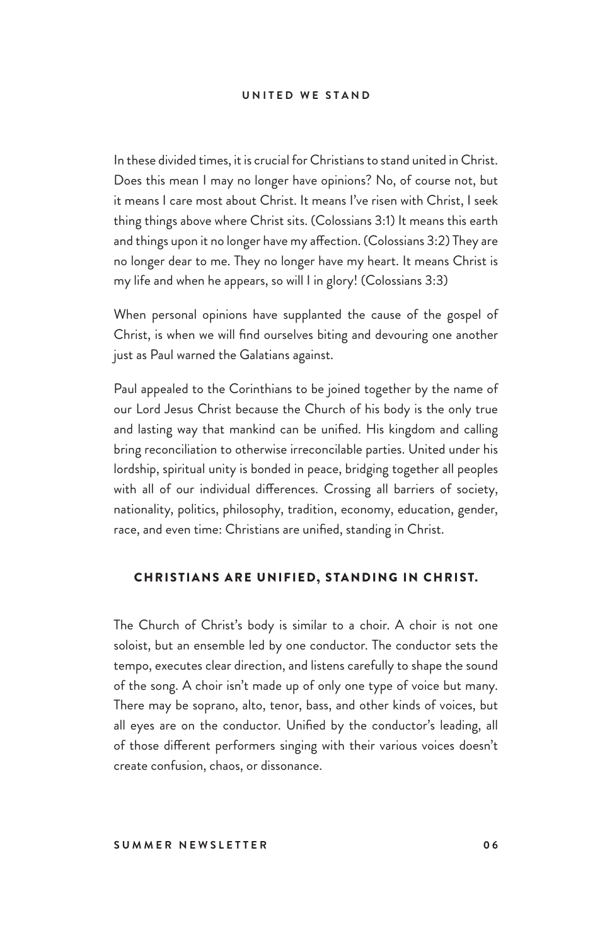In these divided times, it is crucial for Christians to stand united in Christ. Does this mean I may no longer have opinions? No, of course not, but it means I care most about Christ. It means I've risen with Christ, I seek thing things above where Christ sits. (Colossians 3:1) It means this earth and things upon it no longer have my affection. (Colossians 3:2) They are no longer dear to me. They no longer have my heart. It means Christ is my life and when he appears, so will I in glory! (Colossians 3:3)

When personal opinions have supplanted the cause of the gospel of Christ, is when we will find ourselves biting and devouring one another just as Paul warned the Galatians against.

Paul appealed to the Corinthians to be joined together by the name of our Lord Jesus Christ because the Church of his body is the only true and lasting way that mankind can be unified. His kingdom and calling bring reconciliation to otherwise irreconcilable parties. United under his lordship, spiritual unity is bonded in peace, bridging together all peoples with all of our individual differences. Crossing all barriers of society, nationality, politics, philosophy, tradition, economy, education, gender, race, and even time: Christians are unified, standing in Christ.

### CHRISTIANS ARE UNIFIED, STANDING IN CHRIST.

The Church of Christ's body is similar to a choir. A choir is not one soloist, but an ensemble led by one conductor. The conductor sets the tempo, executes clear direction, and listens carefully to shape the sound of the song. A choir isn't made up of only one type of voice but many. There may be soprano, alto, tenor, bass, and other kinds of voices, but all eyes are on the conductor. Unified by the conductor's leading, all of those different performers singing with their various voices doesn't create confusion, chaos, or dissonance.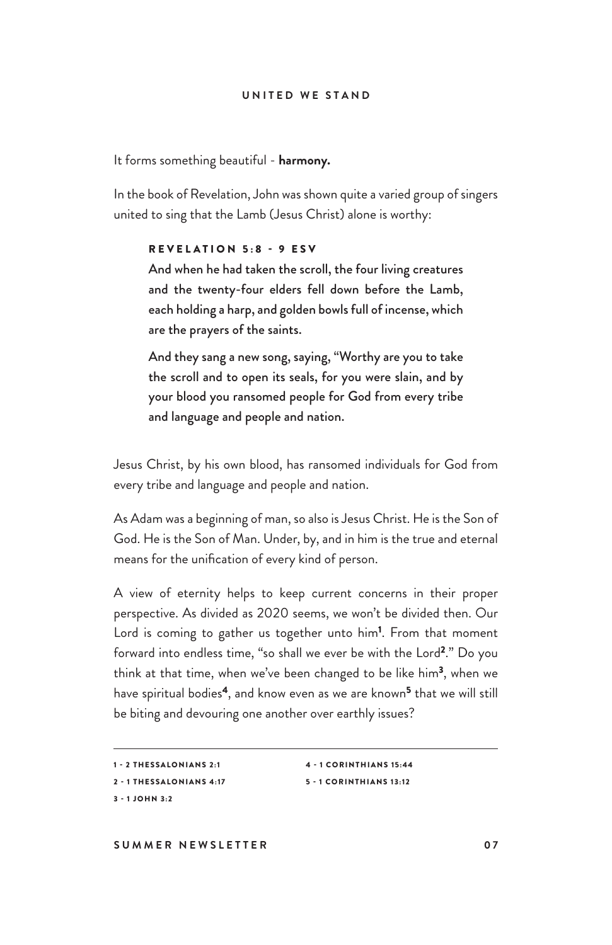It forms something beautiful - **harmony.**

In the book of Revelation, John was shown quite a varied group of singers united to sing that the Lamb (Jesus Christ) alone is worthy:

### REVELATION 5:8 - 9 ESV

And when he had taken the scroll, the four living creatures and the twenty-four elders fell down before the Lamb, each holding a harp, and golden bowls full of incense, which are the prayers of the saints.

And they sang a new song, saying, "Worthy are you to take the scroll and to open its seals, for you were slain, and by your blood you ransomed people for God from every tribe and language and people and nation.

Jesus Christ, by his own blood, has ransomed individuals for God from every tribe and language and people and nation.

As Adam was a beginning of man, so also is Jesus Christ. He is the Son of God. He is the Son of Man. Under, by, and in him is the true and eternal means for the unification of every kind of person.

A view of eternity helps to keep current concerns in their proper perspective. As divided as 2020 seems, we won't be divided then. Our Lord is coming to gather us together unto him<sup>1</sup>. From that moment forward into endless time, "so shall we ever be with the Lord<sup>2</sup>." Do you think at that time, when we've been changed to be like him<sup>3</sup>, when we have spiritual bodies<sup>4</sup>, and know even as we are known<sup>5</sup> that we will still be biting and devouring one another over earthly issues?

```
1 - 2 THESSALONIANS 2:1
2 - 1 THESSALONIANS 4:17
3 - 1 JOHN 3:2
```
4 - 1 CORINTHIANS 15:44 5 - 1 CORINTHIANS 13:12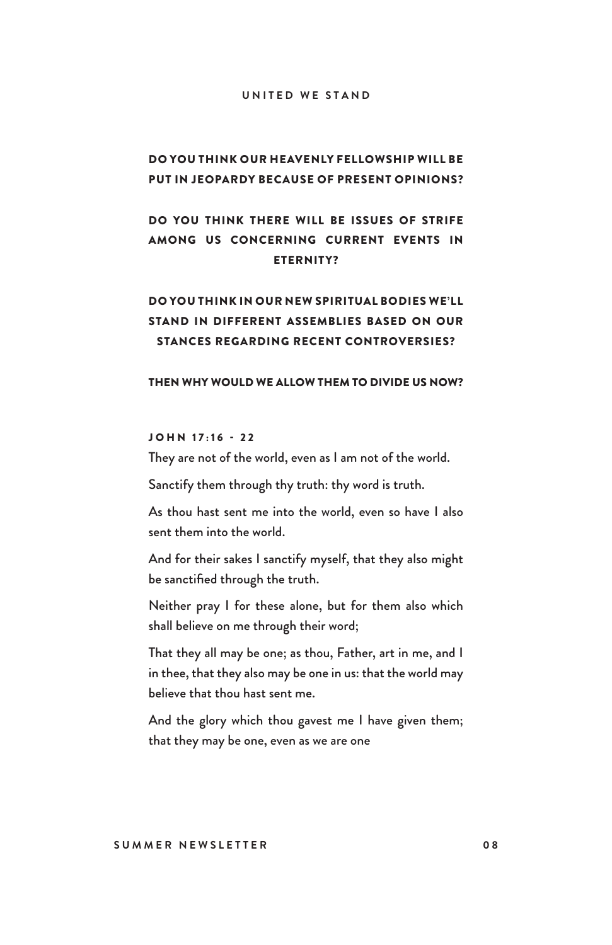### DO YOU THINK OUR HEAVENLY FELLOWSHIP WILL BE PUT IN JEOPARDY BECAUSE OF PRESENT OPINIONS?

DO YOU THINK THERE WILL BE ISSUES OF STRIFE AMONG US CONCERNING CURRENT EVENTS IN ETERNITY?

## DO YOU THINK IN OUR NEW SPIRITUAL BODIES WE'LL STAND IN DIFFERENT ASSEMBLIES BASED ON OUR STANCES REGARDING RECENT CONTROVERSIES?

#### THEN WHY WOULD WE ALLOW THEM TO DIVIDE US NOW?

JOHN 17:16 - 22

They are not of the world, even as I am not of the world.

Sanctify them through thy truth: thy word is truth.

As thou hast sent me into the world, even so have I also sent them into the world.

And for their sakes I sanctify myself, that they also might be sanctified through the truth.

Neither pray I for these alone, but for them also which shall believe on me through their word;

That they all may be one; as thou, Father, art in me, and I in thee, that they also may be one in us: that the world may believe that thou hast sent me.

And the glory which thou gavest me I have given them; that they may be one, even as we are one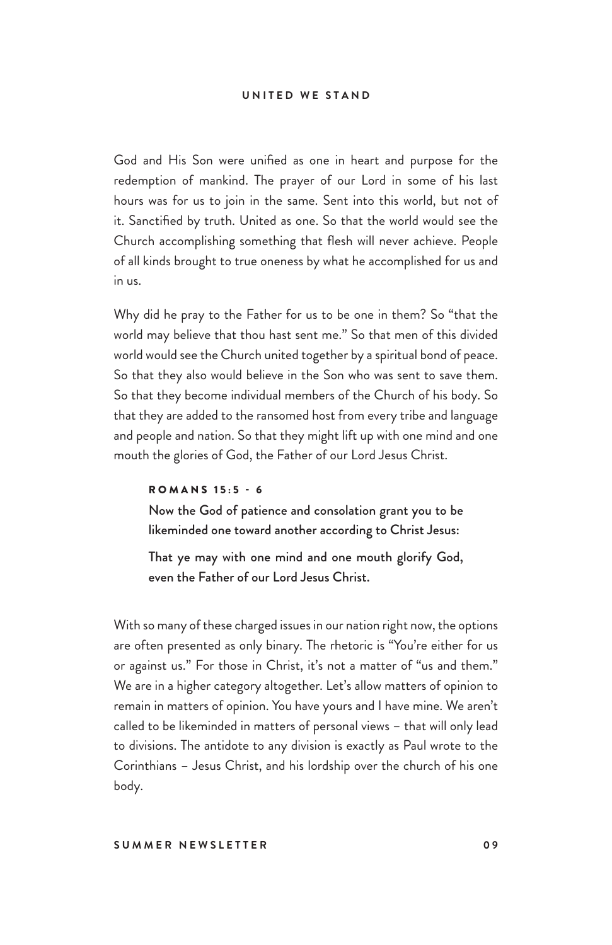God and His Son were unified as one in heart and purpose for the redemption of mankind. The prayer of our Lord in some of his last hours was for us to join in the same. Sent into this world, but not of it. Sanctified by truth. United as one. So that the world would see the Church accomplishing something that flesh will never achieve. People of all kinds brought to true oneness by what he accomplished for us and in us.

Why did he pray to the Father for us to be one in them? So "that the world may believe that thou hast sent me." So that men of this divided world would see the Church united together by a spiritual bond of peace. So that they also would believe in the Son who was sent to save them. So that they become individual members of the Church of his body. So that they are added to the ransomed host from every tribe and language and people and nation. So that they might lift up with one mind and one mouth the glories of God, the Father of our Lord Jesus Christ.

### ROMANS 15:5 - 6

Now the God of patience and consolation grant you to be likeminded one toward another according to Christ Jesus:

That ye may with one mind and one mouth glorify God, even the Father of our Lord Jesus Christ.

With so many of these charged issues in our nation right now, the options are often presented as only binary. The rhetoric is "You're either for us or against us." For those in Christ, it's not a matter of "us and them." We are in a higher category altogether. Let's allow matters of opinion to remain in matters of opinion. You have yours and I have mine. We aren't called to be likeminded in matters of personal views – that will only lead to divisions. The antidote to any division is exactly as Paul wrote to the Corinthians – Jesus Christ, and his lordship over the church of his one body.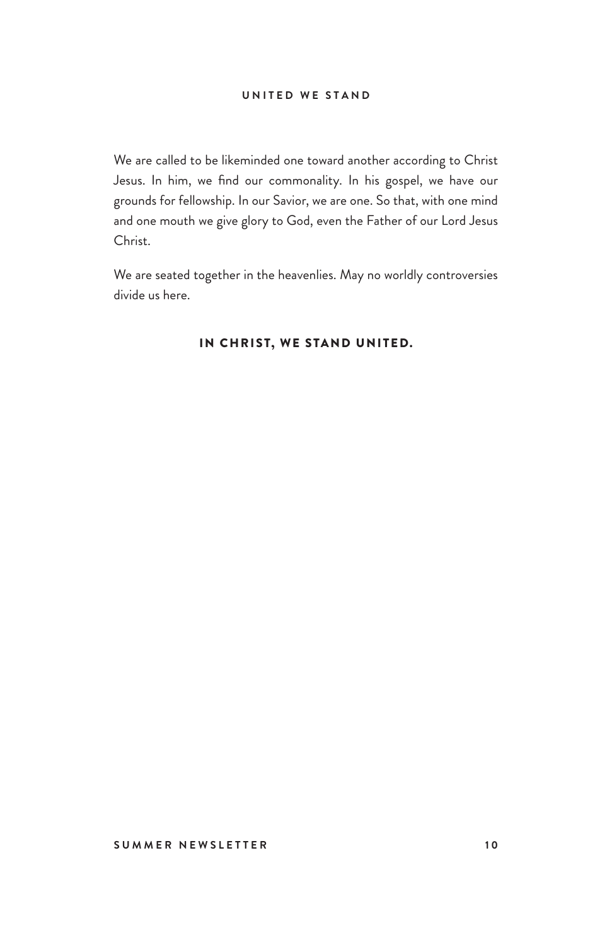We are called to be likeminded one toward another according to Christ Jesus. In him, we find our commonality. In his gospel, we have our grounds for fellowship. In our Savior, we are one. So that, with one mind and one mouth we give glory to God, even the Father of our Lord Jesus Christ.

We are seated together in the heavenlies. May no worldly controversies divide us here.

### IN CHRIST, WE STAND UNITED.